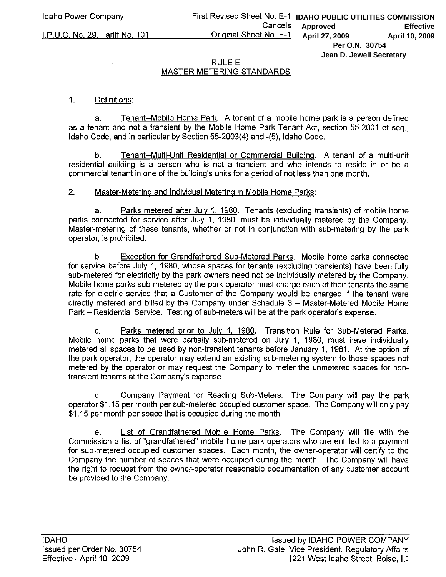## **RULE E** MASTER METERING STANDARDS

## $1<sub>1</sub>$ Definitions:

I.P.U.C. No. 29, Tariff No. 101

Tenant--Mobile Home Park. A tenant of a mobile home park is a person defined a. as a tenant and not a transient by the Mobile Home Park Tenant Act, section 55-2001 et seq., Idaho Code, and in particular by Section 55-2003(4) and -(5), Idaho Code.

Tenant--Multi-Unit Residential or Commercial Building. A tenant of a multi-unit b. residential building is a person who is not a transient and who intends to reside in or be a commercial tenant in one of the building's units for a period of not less than one month.

## $2.$ Master-Metering and Individual Metering in Mobile Home Parks:

a. Parks metered after July 1, 1980. Tenants (excluding transients) of mobile home parks connected for service after July 1, 1980, must be individually metered by the Company. Master-metering of these tenants, whether or not in conjunction with sub-metering by the park operator, is prohibited.

Exception for Grandfathered Sub-Metered Parks. Mobile home parks connected  $b<sub>1</sub>$ for service before July 1, 1980, whose spaces for tenants (excluding transients) have been fully sub-metered for electricity by the park owners need not be individually metered by the Company. Mobile home parks sub-metered by the park operator must charge each of their tenants the same rate for electric service that a Customer of the Company would be charged if the tenant were directly metered and billed by the Company under Schedule 3 - Master-Metered Mobile Home Park – Residential Service. Testing of sub-meters will be at the park operator's expense.

Parks metered prior to July 1, 1980. Transition Rule for Sub-Metered Parks.  $C_{n}$ Mobile home parks that were partially sub-metered on July 1, 1980, must have individually metered all spaces to be used by non-transient tenants before January 1, 1981. At the option of the park operator, the operator may extend an existing sub-metering system to those spaces not metered by the operator or may request the Company to meter the unmetered spaces for nontransient tenants at the Company's expense.

Company Payment for Reading Sub-Meters. The Company will pay the park d. operator \$1.15 per month per sub-metered occupied customer space. The Company will only pay \$1.15 per month per space that is occupied during the month.

List of Grandfathered Mobile Home Parks. The Company will file with the  $\mathbf{e}$ Commission a list of "grandfathered" mobile home park operators who are entitled to a payment for sub-metered occupied customer spaces. Each month, the owner-operator will certify to the Company the number of spaces that were occupied during the month. The Company will have the right to request from the owner-operator reasonable documentation of any customer account be provided to the Company.